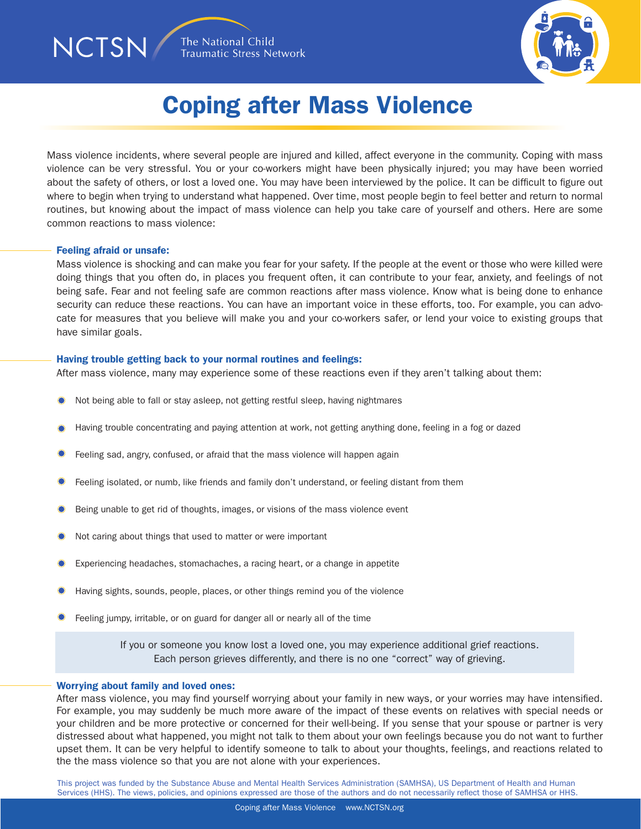

## Coping after Mass Violence

Mass violence incidents, where several people are injured and killed, affect everyone in the community. Coping with mass violence can be very stressful. You or your co-workers might have been physically injured; you may have been worried about the safety of others, or lost a loved one. You may have been interviewed by the police. It can be difficult to figure out where to begin when trying to understand what happened. Over time, most people begin to feel better and return to normal routines, but knowing about the impact of mass violence can help you take care of yourself and others. Here are some common reactions to mass violence:

#### Feeling afraid or unsafe:

NCTSN/

Mass violence is shocking and can make you fear for your safety. If the people at the event or those who were killed were doing things that you often do, in places you frequent often, it can contribute to your fear, anxiety, and feelings of not being safe. Fear and not feeling safe are common reactions after mass violence. Know what is being done to enhance security can reduce these reactions. You can have an important voice in these efforts, too. For example, you can advocate for measures that you believe will make you and your co-workers safer, or lend your voice to existing groups that have similar goals.

#### Having trouble getting back to your normal routines and feelings:

After mass violence, many may experience some of these reactions even if they aren't talking about them:

- Not being able to fall or stay asleep, not getting restful sleep, having nightmares
- Having trouble concentrating and paying attention at work, not getting anything done, feeling in a fog or dazed
- Feeling sad, angry, confused, or afraid that the mass violence will happen again
- Feeling isolated, or numb, like friends and family don't understand, or feeling distant from them
- Being unable to get rid of thoughts, images, or visions of the mass violence event
- Not caring about things that used to matter or were important
- Experiencing headaches, stomachaches, a racing heart, or a change in appetite
- Having sights, sounds, people, places, or other things remind you of the violence
- Feeling jumpy, irritable, or on guard for danger all or nearly all of the time

If you or someone you know lost a loved one, you may experience additional grief reactions. Each person grieves differently, and there is no one "correct" way of grieving.

#### Worrying about family and loved ones:

After mass violence, you may find yourself worrying about your family in new ways, or your worries may have intensified. For example, you may suddenly be much more aware of the impact of these events on relatives with special needs or your children and be more protective or concerned for their well-being. If you sense that your spouse or partner is very distressed about what happened, you might not talk to them about your own feelings because you do not want to further upset them. It can be very helpful to identify someone to talk to about your thoughts, feelings, and reactions related to the the mass violence so that you are not alone with your experiences.

This project was funded by the Substance Abuse and Mental Health Services Administration (SAMHSA), US Department of Health and Human Services (HHS). The views, policies, and opinions expressed are those of the authors and do not necessarily reflect those of SAMHSA or HHS.